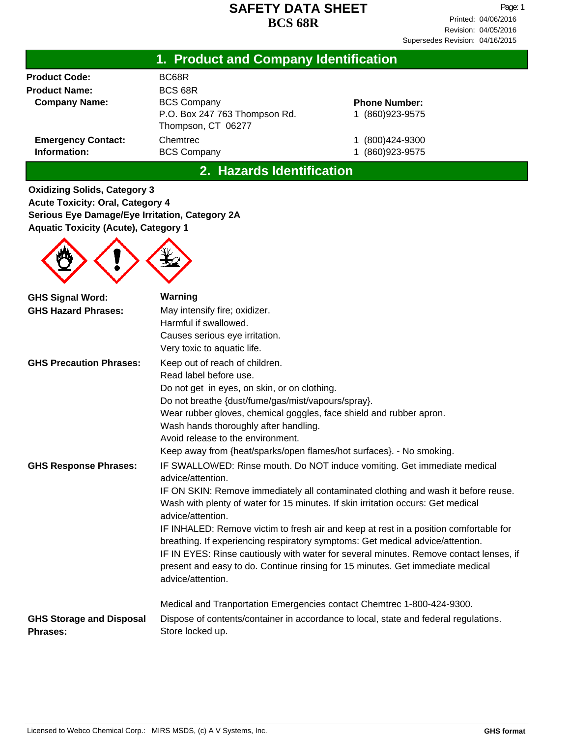| 1. Product and Company Identification     |                                                     |                                 |  |  |
|-------------------------------------------|-----------------------------------------------------|---------------------------------|--|--|
| <b>Product Code:</b>                      | BC68R                                               |                                 |  |  |
| <b>Product Name:</b>                      | BCS 68R                                             |                                 |  |  |
| <b>Company Name:</b>                      | <b>BCS Company</b>                                  | <b>Phone Number:</b>            |  |  |
|                                           | P.O. Box 247 763 Thompson Rd.<br>Thompson, CT 06277 | (860) 923-9575                  |  |  |
| <b>Emergency Contact:</b><br>Information: | Chemtrec<br><b>BCS Company</b>                      | (800)424-9300<br>(860) 923-9575 |  |  |

**2. Hazards Identification**

**Oxidizing Solids, Category 3 Acute Toxicity: Oral, Category 4 Serious Eye Damage/Eye Irritation, Category 2A Aquatic Toxicity (Acute), Category 1**



| <b>GHS Signal Word:</b>                     | Warning                                                                                                                                                                                       |
|---------------------------------------------|-----------------------------------------------------------------------------------------------------------------------------------------------------------------------------------------------|
| <b>GHS Hazard Phrases:</b>                  | May intensify fire; oxidizer.                                                                                                                                                                 |
|                                             | Harmful if swallowed.                                                                                                                                                                         |
|                                             | Causes serious eye irritation.                                                                                                                                                                |
|                                             | Very toxic to aquatic life.                                                                                                                                                                   |
| <b>GHS Precaution Phrases:</b>              | Keep out of reach of children.                                                                                                                                                                |
|                                             | Read label before use.                                                                                                                                                                        |
|                                             | Do not get in eyes, on skin, or on clothing.                                                                                                                                                  |
|                                             | Do not breathe {dust/fume/gas/mist/vapours/spray}.                                                                                                                                            |
|                                             | Wear rubber gloves, chemical goggles, face shield and rubber apron.                                                                                                                           |
|                                             | Wash hands thoroughly after handling.                                                                                                                                                         |
|                                             | Avoid release to the environment.                                                                                                                                                             |
|                                             | Keep away from {heat/sparks/open flames/hot surfaces}. - No smoking.                                                                                                                          |
| <b>GHS Response Phrases:</b>                | IF SWALLOWED: Rinse mouth. Do NOT induce vomiting. Get immediate medical<br>advice/attention.                                                                                                 |
|                                             | IF ON SKIN: Remove immediately all contaminated clothing and wash it before reuse.<br>Wash with plenty of water for 15 minutes. If skin irritation occurs: Get medical<br>advice/attention.   |
|                                             | IF INHALED: Remove victim to fresh air and keep at rest in a position comfortable for<br>breathing. If experiencing respiratory symptoms: Get medical advice/attention.                       |
|                                             | IF IN EYES: Rinse cautiously with water for several minutes. Remove contact lenses, if<br>present and easy to do. Continue rinsing for 15 minutes. Get immediate medical<br>advice/attention. |
|                                             | Medical and Tranportation Emergencies contact Chemtrec 1-800-424-9300.                                                                                                                        |
| <b>GHS Storage and Disposal</b><br>Phrases: | Dispose of contents/container in accordance to local, state and federal regulations.<br>Store locked up.                                                                                      |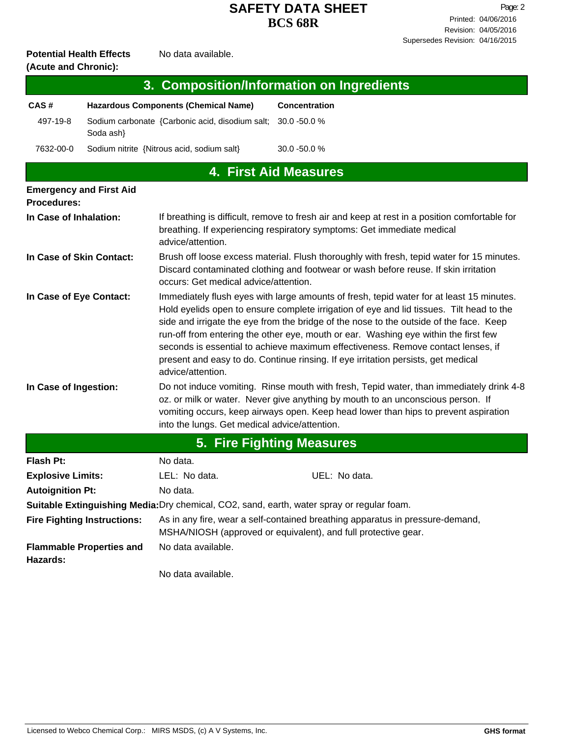#### **Potential Health Effects** No data available. **(Acute and Chronic):**

| $(0.0006)$ and $(0.000)$ .                |                                                                           |                      |  |  |  |
|-------------------------------------------|---------------------------------------------------------------------------|----------------------|--|--|--|
| 3. Composition/Information on Ingredients |                                                                           |                      |  |  |  |
| CAS#                                      | <b>Hazardous Components (Chemical Name)</b>                               | <b>Concentration</b> |  |  |  |
| 497-19-8                                  | Sodium carbonate {Carbonic acid, disodium salt: 30.0 -50.0 %<br>Soda ash} |                      |  |  |  |
| 7632-00-0                                 | Sodium nitrite {Nitrous acid, sodium salt}                                | $30.0 - 50.0 %$      |  |  |  |
| 4. First Aid Measures                     |                                                                           |                      |  |  |  |
|                                           | <b>Emergency and First Aid</b>                                            |                      |  |  |  |

| <b>Procedures:</b>               |                                                                                                                                                                                                                                                                                                                                                                                                                                                                                                                                                                     |  |  |  |
|----------------------------------|---------------------------------------------------------------------------------------------------------------------------------------------------------------------------------------------------------------------------------------------------------------------------------------------------------------------------------------------------------------------------------------------------------------------------------------------------------------------------------------------------------------------------------------------------------------------|--|--|--|
| In Case of Inhalation:           | If breathing is difficult, remove to fresh air and keep at rest in a position comfortable for<br>breathing. If experiencing respiratory symptoms: Get immediate medical<br>advice/attention.                                                                                                                                                                                                                                                                                                                                                                        |  |  |  |
| In Case of Skin Contact:         | Brush off loose excess material. Flush thoroughly with fresh, tepid water for 15 minutes.<br>Discard contaminated clothing and footwear or wash before reuse. If skin irritation<br>occurs: Get medical advice/attention.                                                                                                                                                                                                                                                                                                                                           |  |  |  |
| In Case of Eye Contact:          | Immediately flush eyes with large amounts of fresh, tepid water for at least 15 minutes.<br>Hold eyelids open to ensure complete irrigation of eye and lid tissues. Tilt head to the<br>side and irrigate the eye from the bridge of the nose to the outside of the face. Keep<br>run-off from entering the other eye, mouth or ear. Washing eye within the first few<br>seconds is essential to achieve maximum effectiveness. Remove contact lenses, if<br>present and easy to do. Continue rinsing. If eye irritation persists, get medical<br>advice/attention. |  |  |  |
| In Case of Ingestion:            | Do not induce vomiting. Rinse mouth with fresh, Tepid water, than immediately drink 4-8<br>oz. or milk or water. Never give anything by mouth to an unconscious person. If<br>vomiting occurs, keep airways open. Keep head lower than hips to prevent aspiration<br>into the lungs. Get medical advice/attention.                                                                                                                                                                                                                                                  |  |  |  |
| <b>5. Fire Fighting Measures</b> |                                                                                                                                                                                                                                                                                                                                                                                                                                                                                                                                                                     |  |  |  |

| Flash Pt:                                                                                  | No data.                                                                                                                                        |               |  |  |  |  |
|--------------------------------------------------------------------------------------------|-------------------------------------------------------------------------------------------------------------------------------------------------|---------------|--|--|--|--|
| <b>Explosive Limits:</b>                                                                   | LEL: No data.                                                                                                                                   | UEL: No data. |  |  |  |  |
| <b>Autoignition Pt:</b>                                                                    | No data.                                                                                                                                        |               |  |  |  |  |
| Suitable Extinguishing Media: Dry chemical, CO2, sand, earth, water spray or regular foam. |                                                                                                                                                 |               |  |  |  |  |
| <b>Fire Fighting Instructions:</b>                                                         | As in any fire, wear a self-contained breathing apparatus in pressure-demand,<br>MSHA/NIOSH (approved or equivalent), and full protective gear. |               |  |  |  |  |
| <b>Flammable Properties and</b><br>Hazards:                                                | No data available.                                                                                                                              |               |  |  |  |  |
|                                                                                            |                                                                                                                                                 |               |  |  |  |  |

No data available.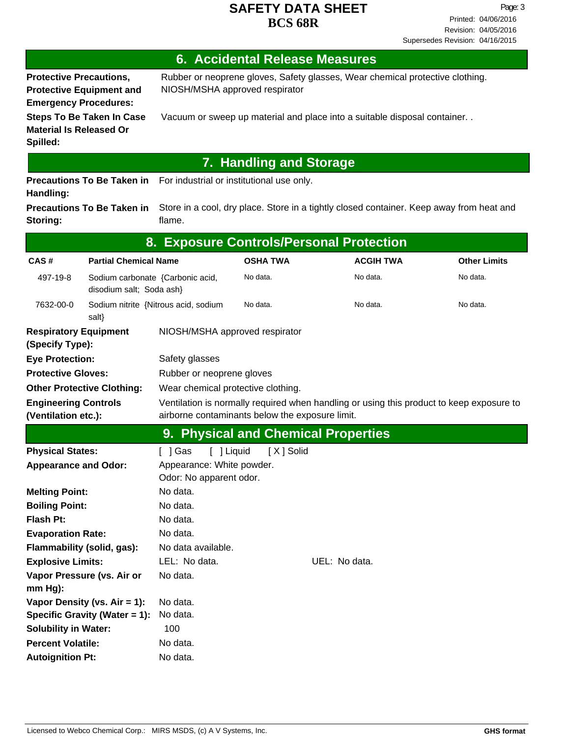Revision: 04/05/2016 Printed: 04/06/2016 Page: 3 Supersedes Revision: 04/16/2015

## **6. Accidental Release Measures**

**Protective Precautions, Protective Equipment and Emergency Procedures:**

Rubber or neoprene gloves, Safety glasses, Wear chemical protective clothing. NIOSH/MSHA approved respirator

**Material Is Released Or Spilled:**

**Steps To Be Taken In Case** Vacuum or sweep up material and place into a suitable disposal container. .

# **7. Handling and Storage**

**Precautions To Be Taken in** For industrial or institutional use only. **Handling:**

Store in a cool, dry place. Store in a tightly closed container. Keep away from heat and flame. **Precautions To Be Taken in Storing:**

| 8. Exposure Controls/Personal Protection        |                                                                                                                                                                                                   |                                     |                 |               |                  |                     |
|-------------------------------------------------|---------------------------------------------------------------------------------------------------------------------------------------------------------------------------------------------------|-------------------------------------|-----------------|---------------|------------------|---------------------|
| CAS#                                            | <b>Partial Chemical Name</b>                                                                                                                                                                      |                                     | <b>OSHA TWA</b> |               | <b>ACGIH TWA</b> | <b>Other Limits</b> |
| 497-19-8                                        | Sodium carbonate {Carbonic acid,<br>disodium salt; Soda ash}                                                                                                                                      |                                     | No data.        |               | No data.         | No data.            |
| 7632-00-0                                       | Sodium nitrite {Nitrous acid, sodium<br>salt}                                                                                                                                                     |                                     | No data.        |               | No data.         | No data.            |
| <b>Respiratory Equipment</b><br>(Specify Type): |                                                                                                                                                                                                   | NIOSH/MSHA approved respirator      |                 |               |                  |                     |
| <b>Eye Protection:</b>                          |                                                                                                                                                                                                   | Safety glasses                      |                 |               |                  |                     |
| <b>Protective Gloves:</b>                       |                                                                                                                                                                                                   | Rubber or neoprene gloves           |                 |               |                  |                     |
| <b>Other Protective Clothing:</b>               |                                                                                                                                                                                                   | Wear chemical protective clothing.  |                 |               |                  |                     |
|                                                 | <b>Engineering Controls</b><br>Ventilation is normally required when handling or using this product to keep exposure to<br>(Ventilation etc.):<br>airborne contaminants below the exposure limit. |                                     |                 |               |                  |                     |
|                                                 |                                                                                                                                                                                                   | 9. Physical and Chemical Properties |                 |               |                  |                     |
| <b>Physical States:</b>                         |                                                                                                                                                                                                   | [ ] Gas<br>[ ] Liquid               | [X] Solid       |               |                  |                     |
| <b>Appearance and Odor:</b>                     |                                                                                                                                                                                                   | Appearance: White powder.           |                 |               |                  |                     |
|                                                 |                                                                                                                                                                                                   | Odor: No apparent odor.             |                 |               |                  |                     |
| <b>Melting Point:</b>                           |                                                                                                                                                                                                   | No data.                            |                 |               |                  |                     |
| <b>Boiling Point:</b>                           |                                                                                                                                                                                                   | No data.                            |                 |               |                  |                     |
| <b>Flash Pt:</b>                                |                                                                                                                                                                                                   | No data.                            |                 |               |                  |                     |
| <b>Evaporation Rate:</b>                        |                                                                                                                                                                                                   | No data.                            |                 |               |                  |                     |
| Flammability (solid, gas):                      |                                                                                                                                                                                                   | No data available.                  |                 |               |                  |                     |
| <b>Explosive Limits:</b>                        |                                                                                                                                                                                                   | LEL: No data.                       |                 | UEL: No data. |                  |                     |
| Vapor Pressure (vs. Air or                      |                                                                                                                                                                                                   | No data.                            |                 |               |                  |                     |
| mm Hg):                                         |                                                                                                                                                                                                   |                                     |                 |               |                  |                     |
| Vapor Density (vs. $Air = 1$ ):                 |                                                                                                                                                                                                   | No data.                            |                 |               |                  |                     |
|                                                 | Specific Gravity (Water = 1):                                                                                                                                                                     | No data.                            |                 |               |                  |                     |
| <b>Solubility in Water:</b>                     |                                                                                                                                                                                                   | 100                                 |                 |               |                  |                     |
| <b>Percent Volatile:</b>                        |                                                                                                                                                                                                   | No data.                            |                 |               |                  |                     |
| <b>Autoignition Pt:</b>                         |                                                                                                                                                                                                   | No data.                            |                 |               |                  |                     |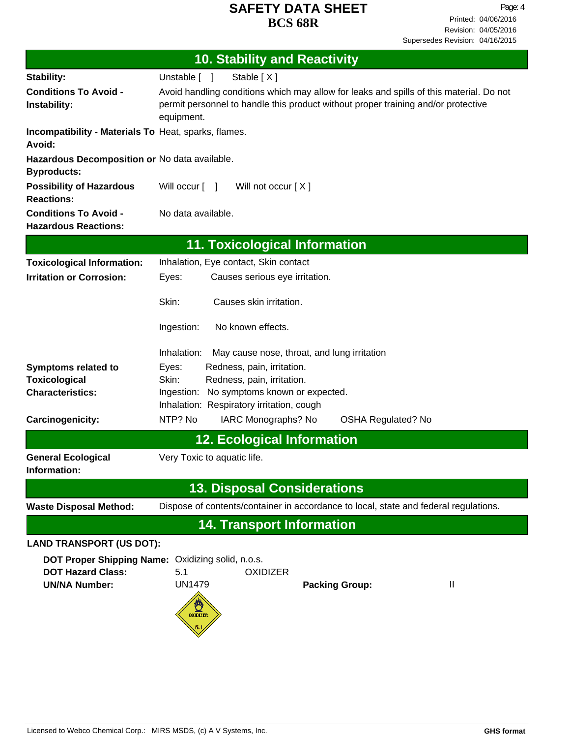| <b>10. Stability and Reactivity</b>                                 |                                                                                                                                                                                            |  |  |  |  |  |
|---------------------------------------------------------------------|--------------------------------------------------------------------------------------------------------------------------------------------------------------------------------------------|--|--|--|--|--|
| Stability:                                                          | Stable [X]<br>Unstable [ ]                                                                                                                                                                 |  |  |  |  |  |
| <b>Conditions To Avoid -</b><br>Instability:                        | Avoid handling conditions which may allow for leaks and spills of this material. Do not<br>permit personnel to handle this product without proper training and/or protective<br>equipment. |  |  |  |  |  |
| Incompatibility - Materials To Heat, sparks, flames.<br>Avoid:      |                                                                                                                                                                                            |  |  |  |  |  |
| Hazardous Decomposition or No data available.<br><b>Byproducts:</b> |                                                                                                                                                                                            |  |  |  |  |  |
| <b>Possibility of Hazardous</b><br><b>Reactions:</b>                | Will occur [ ]<br>Will not occur $[X]$                                                                                                                                                     |  |  |  |  |  |
| <b>Conditions To Avoid -</b><br><b>Hazardous Reactions:</b>         | No data available.                                                                                                                                                                         |  |  |  |  |  |
|                                                                     | <b>11. Toxicological Information</b>                                                                                                                                                       |  |  |  |  |  |
| <b>Toxicological Information:</b>                                   | Inhalation, Eye contact, Skin contact                                                                                                                                                      |  |  |  |  |  |
| <b>Irritation or Corrosion:</b>                                     | Causes serious eye irritation.<br>Eyes:                                                                                                                                                    |  |  |  |  |  |
|                                                                     | Skin:<br>Causes skin irritation.                                                                                                                                                           |  |  |  |  |  |
|                                                                     | No known effects.<br>Ingestion:                                                                                                                                                            |  |  |  |  |  |
|                                                                     | Inhalation:<br>May cause nose, throat, and lung irritation                                                                                                                                 |  |  |  |  |  |
| <b>Symptoms related to</b>                                          | Eyes:<br>Redness, pain, irritation.                                                                                                                                                        |  |  |  |  |  |
| <b>Toxicological</b><br><b>Characteristics:</b>                     | Skin:<br>Redness, pain, irritation.                                                                                                                                                        |  |  |  |  |  |
|                                                                     | No symptoms known or expected.<br>Ingestion:<br>Inhalation: Respiratory irritation, cough                                                                                                  |  |  |  |  |  |
| Carcinogenicity:                                                    | NTP? No<br>IARC Monographs? No<br><b>OSHA Regulated? No</b>                                                                                                                                |  |  |  |  |  |
|                                                                     | <b>12. Ecological Information</b>                                                                                                                                                          |  |  |  |  |  |
| <b>General Ecological</b><br>Information:                           | Very Toxic to aquatic life.                                                                                                                                                                |  |  |  |  |  |
|                                                                     | <b>13. Disposal Considerations</b>                                                                                                                                                         |  |  |  |  |  |
| <b>Waste Disposal Method:</b>                                       | Dispose of contents/container in accordance to local, state and federal regulations.                                                                                                       |  |  |  |  |  |
|                                                                     | <b>14. Transport Information</b>                                                                                                                                                           |  |  |  |  |  |
| <b>LAND TRANSPORT (US DOT):</b>                                     |                                                                                                                                                                                            |  |  |  |  |  |
| DOT Proper Shipping Name: Oxidizing solid, n.o.s.                   |                                                                                                                                                                                            |  |  |  |  |  |
| <b>DOT Hazard Class:</b>                                            | 5.1<br><b>OXIDIZER</b>                                                                                                                                                                     |  |  |  |  |  |
| <b>UN/NA Number:</b>                                                | <b>UN1479</b><br>Ш<br><b>Packing Group:</b>                                                                                                                                                |  |  |  |  |  |
|                                                                     | $\frac{1}{\sqrt{2}}$                                                                                                                                                                       |  |  |  |  |  |